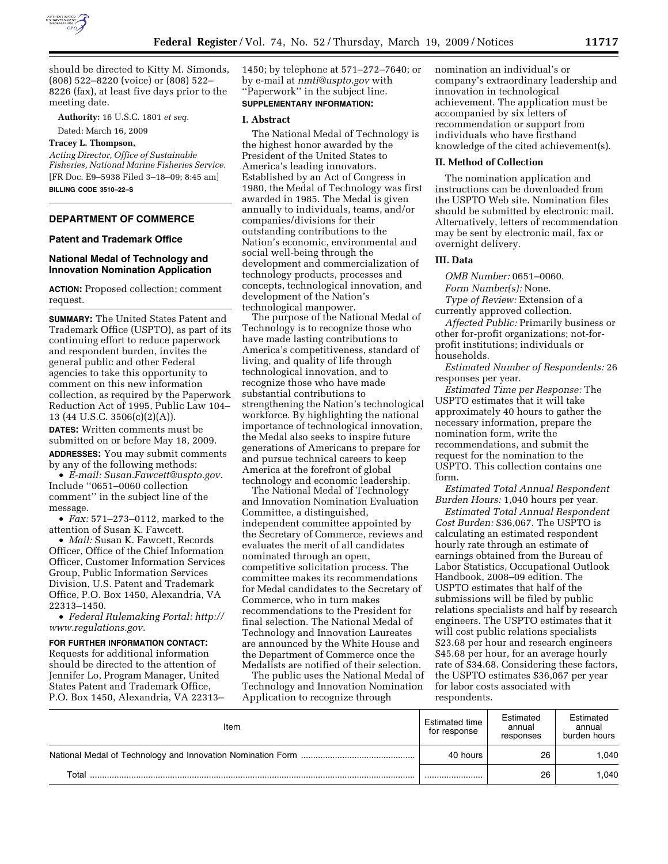

should be directed to Kitty M. Simonds, (808) 522–8220 (voice) or (808) 522– 8226 (fax), at least five days prior to the meeting date.

**Authority:** 16 U.S.C. 1801 *et seq.* 

Dated: March 16, 2009

# **Tracey L. Thompson,**

*Acting Director, Office of Sustainable Fisheries, National Marine Fisheries Service.*  [FR Doc. E9–5938 Filed 3–18–09; 8:45 am] **BILLING CODE 3510–22–S** 

# **DEPARTMENT OF COMMERCE**

# **Patent and Trademark Office**

## **National Medal of Technology and Innovation Nomination Application**

**ACTION:** Proposed collection; comment request.

**SUMMARY:** The United States Patent and Trademark Office (USPTO), as part of its continuing effort to reduce paperwork and respondent burden, invites the general public and other Federal agencies to take this opportunity to comment on this new information collection, as required by the Paperwork Reduction Act of 1995, Public Law 104– 13 (44 U.S.C. 3506(c)(2)(A)). **DATES:** Written comments must be submitted on or before May 18, 2009.

**ADDRESSES:** You may submit comments by any of the following methods: • *E-mail: Susan.Fawcett@uspto.gov.* 

Include ''0651–0060 collection comment'' in the subject line of the message.

• *Fax:* 571–273–0112, marked to the attention of Susan K. Fawcett.

• *Mail:* Susan K. Fawcett, Records Officer, Office of the Chief Information Officer, Customer Information Services Group, Public Information Services Division, U.S. Patent and Trademark Office, P.O. Box 1450, Alexandria, VA 22313–1450.

• *Federal Rulemaking Portal: http:// www.regulations.gov.* 

**FOR FURTHER INFORMATION CONTACT:**  Requests for additional information should be directed to the attention of Jennifer Lo, Program Manager, United States Patent and Trademark Office, P.O. Box 1450, Alexandria, VA 22313–

1450; by telephone at 571–272–7640; or by e-mail at *nmti@uspto.gov* with ''Paperwork'' in the subject line.

# **SUPPLEMENTARY INFORMATION:**

#### **I. Abstract**

The National Medal of Technology is the highest honor awarded by the President of the United States to America's leading innovators. Established by an Act of Congress in 1980, the Medal of Technology was first awarded in 1985. The Medal is given annually to individuals, teams, and/or companies/divisions for their outstanding contributions to the Nation's economic, environmental and social well-being through the development and commercialization of technology products, processes and concepts, technological innovation, and development of the Nation's technological manpower.

The purpose of the National Medal of Technology is to recognize those who have made lasting contributions to America's competitiveness, standard of living, and quality of life through technological innovation, and to recognize those who have made substantial contributions to strengthening the Nation's technological workforce. By highlighting the national importance of technological innovation, the Medal also seeks to inspire future generations of Americans to prepare for and pursue technical careers to keep America at the forefront of global technology and economic leadership.

The National Medal of Technology and Innovation Nomination Evaluation Committee, a distinguished, independent committee appointed by the Secretary of Commerce, reviews and evaluates the merit of all candidates nominated through an open, competitive solicitation process. The committee makes its recommendations for Medal candidates to the Secretary of Commerce, who in turn makes recommendations to the President for final selection. The National Medal of Technology and Innovation Laureates are announced by the White House and the Department of Commerce once the Medalists are notified of their selection.

The public uses the National Medal of Technology and Innovation Nomination Application to recognize through

nomination an individual's or company's extraordinary leadership and innovation in technological achievement. The application must be accompanied by six letters of recommendation or support from individuals who have firsthand knowledge of the cited achievement(s).

## **II. Method of Collection**

The nomination application and instructions can be downloaded from the USPTO Web site. Nomination files should be submitted by electronic mail. Alternatively, letters of recommendation may be sent by electronic mail, fax or overnight delivery.

#### **III. Data**

*OMB Number:* 0651–0060. *Form Number(s):* None. *Type of Review:* Extension of a currently approved collection.

*Affected Public:* Primarily business or other for-profit organizations; not-forprofit institutions; individuals or households.

*Estimated Number of Respondents:* 26 responses per year.

*Estimated Time per Response:* The USPTO estimates that it will take approximately 40 hours to gather the necessary information, prepare the nomination form, write the recommendations, and submit the request for the nomination to the USPTO. This collection contains one form.

*Estimated Total Annual Respondent Burden Hours:* 1,040 hours per year.

*Estimated Total Annual Respondent Cost Burden:* \$36,067. The USPTO is calculating an estimated respondent hourly rate through an estimate of earnings obtained from the Bureau of Labor Statistics, Occupational Outlook Handbook, 2008–09 edition. The USPTO estimates that half of the submissions will be filed by public relations specialists and half by research engineers. The USPTO estimates that it will cost public relations specialists \$23.68 per hour and research engineers \$45.68 per hour, for an average hourly rate of \$34.68. Considering these factors, the USPTO estimates \$36,067 per year for labor costs associated with respondents.

| Item  | Estimated time<br>for response | Estimated<br>annual<br>responses | Estimated<br>annual<br>burden hours |
|-------|--------------------------------|----------------------------------|-------------------------------------|
|       | 40 hours                       | 26                               | .040                                |
| Total |                                | 26                               | .040                                |